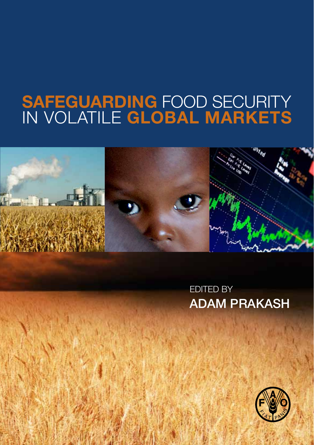# <span id="page-0-0"></span>SAFEGUARDING FOOD SECURITY in VOLATILE GLOBAL MARKETS



Edited by Adam Prakash

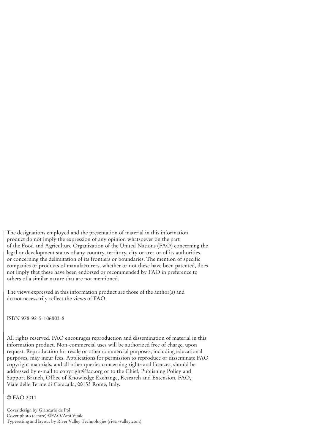The designations employed and the presentation of material in this information product do not imply the expression of any opinion whatsoever on the part of the Food and Agriculture Organization of the United Nations (FAO) concerning the legal or development status of any country, territory, city or area or of its authorities, or concerning the delimitation of its frontiers or boundaries. The mention of specific companies or products of manufacturers, whether or not these have been patented, does not imply that these have been endorsed or recommended by FAO in preference to others of a similar nature that are not mentioned.

The views expressed in this information product are those of the author(s) and do not necessarily reflect the views of FAO.

ISBN 978-92-5-106803-8

All rights reserved. FAO encourages reproduction and dissemination of material in this information product. Non-commercial uses will be authorized free of charge, upon request. Reproduction for resale or other commercial purposes, including educational purposes, may incur fees. Applications for permission to reproduce or disseminate FAO copyright materials, and all other queries concerning rights and licences, should be addressed by e-mail to copyright@fao.org or to the Chief, Publishing Policy and Support Branch, Office of Knowledge Exchange, Research and Extension, FAO, Viale delle Terme di Caracalla, 00153 Rome, Italy.

© FAO 2011

Cover design by Giancarlo de Pol Cover photo (centre) ©FAO/Ami Vitale Typesetting and layout by River Valley Technologies (river-valley.com)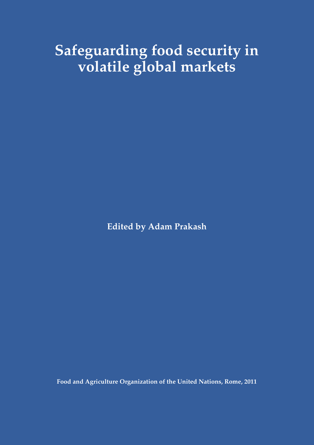## **Safeguarding food security in volatile global markets**

**Edited by Adam Prakash**

**Food and Agriculture Organization of the United Nations, Rome, 2011**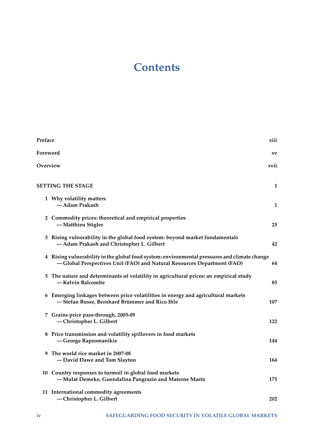## **Contents**

| Preface  |                                                                                                                                                                        | xiii |
|----------|------------------------------------------------------------------------------------------------------------------------------------------------------------------------|------|
| Foreword |                                                                                                                                                                        | XV   |
| Overview |                                                                                                                                                                        | xvii |
|          | <b>SETTING THE STAGE</b>                                                                                                                                               | 1    |
|          | 1 Why volatility matters<br>— Adam Prakash                                                                                                                             | 1    |
|          | 2 Commodity prices: theoretical and empirical properties<br>-Matthieu Stigler                                                                                          | 25   |
|          | 3 Rising vulnerability in the global food system: beyond market fundamentals<br>-Adam Prakash and Christopher L. Gilbert                                               | 42   |
|          | 4 Rising vulnerability in the global food system: environmental pressures and climate change<br>-Global Perspectives Unit (FAO) and Natural Resources Department (FAO) | 64   |
|          | 5 The nature and determinants of volatility in agricultural prices: an empirical study<br>— Kelvin Balcombe                                                            | 85   |
|          | 6 Emerging linkages between price volatilities in energy and agricultural markets<br>-Stefan Busse, Bernhard Brümmer and Rico Ihle                                     | 107  |
|          | 7 Grains price pass-through, 2005-09<br>-Christopher L. Gilbert                                                                                                        | 122  |
|          | 8 Price transmission and volatility spillovers in food markets<br>-George Rapsomanikis                                                                                 | 144  |
|          | 9 The world rice market in 2007-08<br>-David Dawe and Tom Slayton                                                                                                      | 164  |
|          | 10 Country responses to turmoil in global food markets<br>-Mulat Demeke, Guendalina Pangrazio and Materne Maetz                                                        | 175  |
|          | 11 International commodity agreements<br>-Christopher L. Gilbert                                                                                                       | 202  |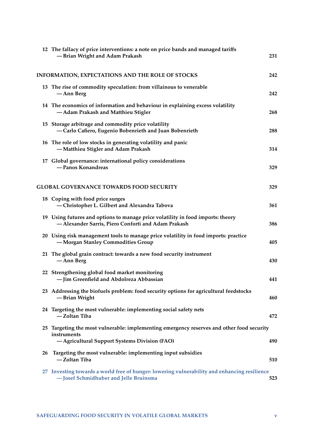|    | 12 The fallacy of price interventions: a note on price bands and managed tariffs<br>-Brian Wright and Adam Prakash                                       | 231 |
|----|----------------------------------------------------------------------------------------------------------------------------------------------------------|-----|
|    | INFORMATION, EXPECTATIONS AND THE ROLE OF STOCKS                                                                                                         | 242 |
|    | 13 The rise of commodity speculation: from villainous to venerable<br>— Ann Berg                                                                         | 242 |
|    | 14 The economics of information and behaviour in explaining excess volatility<br>-Adam Prakash and Matthieu Stigler                                      | 268 |
|    | 15 Storage arbitrage and commodity price volatility<br>-Carlo Cafiero, Eugenio Bobenrieth and Juan Bobenrieth                                            | 288 |
|    | 16 The role of low stocks in generating volatility and panic<br>-Matthieu Stigler and Adam Prakash                                                       | 314 |
|    | 17 Global governance: international policy considerations<br>-Panos Konandreas                                                                           | 329 |
|    | <b>GLOBAL GOVERNANCE TOWARDS FOOD SECURITY</b>                                                                                                           | 329 |
|    | 18 Coping with food price surges<br>-Christopher L. Gilbert and Alexandra Tabova                                                                         | 361 |
|    | 19 Using futures and options to manage price volatility in food imports: theory<br>-Alexander Sarris, Piero Conforti and Adam Prakash                    | 386 |
|    | 20 Using risk management tools to manage price volatility in food imports: practice<br>-Morgan Stanley Commodities Group                                 | 405 |
|    | 21 The global grain contract: towards a new food security instrument<br>— Ann Berg                                                                       | 430 |
|    | 22 Strengthening global food market monitoring<br>- Jim Greenfield and Abdolreza Abbassian                                                               | 441 |
|    | 23 Addressing the biofuels problem: food security options for agricultural feedstocks<br>-Brian Wright                                                   | 460 |
|    | 24 Targeting the most vulnerable: implementing social safety nets<br>-Zoltan Tiba                                                                        | 472 |
|    | 25 Targeting the most vulnerable: implementing emergency reserves and other food security<br>instruments<br>-Agricultural Support Systems Division (FAO) | 490 |
| 26 | Targeting the most vulnerable: implementing input subsidies<br>— Zoltan Tiba                                                                             | 510 |
|    | 27 Investing towards a world free of hunger: lowering vulnerability and enhancing resilience<br>-Josef Schmidhuber and Jelle Bruinsma                    | 523 |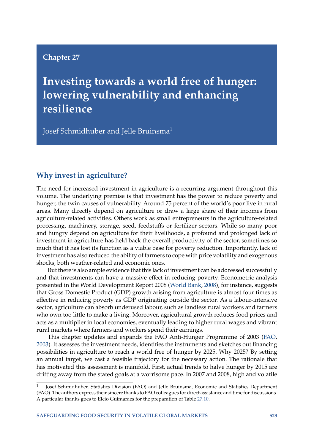## <span id="page-5-0"></span>**Chapter 27**

**Investing towards a world free of hunger: lowering vulnerability and enhancing resilience**

Josef Schmidhuber and Jelle Bruinsma<sup>1</sup>

## **Why invest in agriculture?**

The need for increased investment in agriculture is a recurring argument throughout this volume. The underlying premise is that investment has the power to reduce poverty and hunger, the twin causes of vulnerability. Around 75 percent of the world's poor live in rural areas. Many directly depend on agriculture or draw a large share of their incomes from agriculture-related activities. Others work as small entrepreneurs in the agriculture-related processing, machinery, storage, seed, feedstuffs or fertilizer sectors. While so many poor and hungry depend on agriculture for their livelihoods, a profound and prolonged lack of investment in agriculture has held back the overall productivity of the sector, sometimes so much that it has lost its function as a viable base for poverty reduction. Importantly, lack of investment has also reduced the ability of farmers to cope with price volatility and exogenous shocks, both weather-related and economic ones.

But there is also ample evidence that this lack of investment can be addressed successfully and that investments can have a massive effect in reducing poverty. Econometric analysis presented in the World Development Report 2008 [\(World Bank,](#page-31-0) [2008\)](#page-31-0), for instance, suggests that Gross Domestic Product (GDP) growth arising from agriculture is almost four times as effective in reducing poverty as GDP originating outside the sector. As a labour-intensive sector, agriculture can absorb underused labour, such as landless rural workers and farmers who own too little to make a living. Moreover, agricultural growth reduces food prices and acts as a multiplier in local economies, eventually leading to higher rural wages and vibrant rural markets where farmers and workers spend their earnings.

This chapter updates and expands the FAO Anti-Hunger Programme of 2003 [\(FAO,](#page-31-1) [2003\)](#page-31-1). It assesses the investment needs, identifies the instruments and sketches out financing possibilities in agriculture to reach a world free of hunger by 2025. Why 2025? By setting an annual target, we cast a feasible trajectory for the necessary action. The rationale that has motivated this assessment is manifold. First, actual trends to halve hunger by 2015 are drifting away from the stated goals at a worrisome pace. In 2007 and 2008, high and volatile

<sup>1</sup> Josef Schmidhuber, Statistics Division (FAO) and Jelle Bruinsma, Economic and Statistics Department (FAO). The authors express their sincere thanks to FAO colleagues for direct assistance and time for discussions. A particular thanks goes to Elcio Guimaraes for the preparation of Table [27.10.](#page-29-0)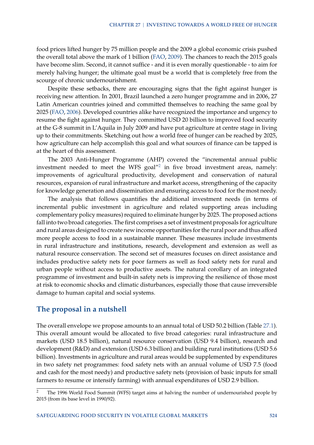food prices lifted hunger by 75 million people and the 2009 a global economic crisis pushed the overall total above the mark of 1 billion [\(FAO,](#page-31-2) [2009\)](#page-31-2). The chances to reach the 2015 goals have become slim. Second, it cannot suffice - and it is even morally questionable - to aim for merely halving hunger; the ultimate goal must be a world that is completely free from the scourge of chronic undernourishment.

Despite these setbacks, there are encouraging signs that the fight against hunger is receiving new attention. In 2001, Brazil launched a zero hunger programme and in 2006, 27 Latin American countries joined and committed themselves to reaching the same goal by 2025 [\(FAO,](#page-31-3) [2006\)](#page-31-3). Developed countries alike have recognized the importance and urgency to resume the fight against hunger. They committed USD 20 billion to improved food security at the G-8 summit in L'Aquila in July 2009 and have put agriculture at centre stage in living up to their commitments. Sketching out how a world free of hunger can be reached by 2025, how agriculture can help accomplish this goal and what sources of finance can be tapped is at the heart of this assessment.

The 2003 Anti-Hunger Programme (AHP) covered the "incremental annual public investment needed to meet the WFS goal $^{\prime\prime}{}^2$  $^{\prime\prime}{}^2$  in five broad investment areas, namely: improvements of agricultural productivity, development and conservation of natural resources, expansion of rural infrastructure and market access, strengthening of the capacity for knowledge generation and dissemination and ensuring access to food for the most needy.

The analysis that follows quantifies the additional investment needs (in terms of incremental public investment in agriculture and related supporting areas including complementary policy measures) required to eliminate hunger by 2025. The proposed actions fall into two broad categories. The first comprises a set of investment proposals for agriculture and rural areas designed to create new income opportunities for the rural poor and thus afford more people access to food in a sustainable manner. These measures include investments in rural infrastructure and institutions, research, development and extension as well as natural resource conservation. The second set of measures focuses on direct assistance and includes productive safety nets for poor farmers as well as food safety nets for rural and urban people without access to productive assets. The natural corollary of an integrated programme of investment and built-in safety nets is improving the resilience of those most at risk to economic shocks and climatic disturbances, especially those that cause irreversible damage to human capital and social systems.

## **The proposal in a nutshell**

The overall envelope we propose amounts to an annual total of USD 50.2 billion (Table [27.1\)](#page-7-0). This overall amount would be allocated to five broad categories: rural infrastructure and markets (USD 18.5 billion), natural resource conservation (USD 9.4 billion), research and development (R&D) and extension (USD 6.3 billion) and building rural institutions (USD 5.6 billion). Investments in agriculture and rural areas would be supplemented by expenditures in two safety net programmes: food safety nets with an annual volume of USD 7.5 (food and cash for the most needy) and productive safety nets (provision of basic inputs for small farmers to resume or intensify farming) with annual expenditures of USD 2.9 billion.

<span id="page-6-0"></span><sup>2</sup> The 1996 World Food Summit (WFS) target aims at halving the number of undernourished people by 2015 (from its base level in 1990/92).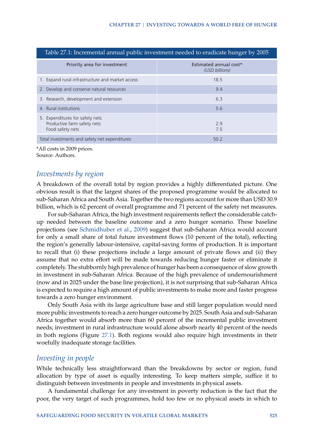<span id="page-7-0"></span>

| Table 27.1: Incremental annual public investment needed to eradicate hunger by 2005 |                                          |  |  |  |  |
|-------------------------------------------------------------------------------------|------------------------------------------|--|--|--|--|
| Priority area for investment                                                        | Estimated annual cost*<br>(USD billions) |  |  |  |  |
| 1. Expand rural infrastructure and market access                                    | 18.5                                     |  |  |  |  |
| 2. Develop and conserve natural resources                                           | 9.4                                      |  |  |  |  |
| 3. Research, development and extension                                              | 6.3                                      |  |  |  |  |
| 4. Rural institutions                                                               | 5.6                                      |  |  |  |  |
| 5. Expenditures for safety nets<br>Productive farm safety nets<br>Food safety nets  | 2.9<br>7.5                               |  |  |  |  |
| Total investments and safety net expenditures                                       | 50.2                                     |  |  |  |  |

\*All costs in 2009 prices. Source: Authors.

#### *Investments by region*

A breakdown of the overall total by region provides a highly differentiated picture. One obvious result is that the largest shares of the proposed programme would be allocated to sub-Saharan Africa and South Asia. Together the two regions account for more than USD 30.9 billion, which is 62 percent of overall programme and 71 percent of the safety net measures.

For sub-Saharan Africa, the high investment requirements reflect the considerable catchup needed between the baseline outcome and a zero hunger scenario. These baseline projections (see [Schmidhuber et al.,](#page-31-4) [2009\)](#page-31-4) suggest that sub-Saharan Africa would account for only a small share of total future investment flows (10 percent of the total), reflecting the region's generally labour-intensive, capital-saving forms of production. It is important to recall that (i) these projections include a large amount of private flows and (ii) they assume that no extra effort will be made towards reducing hunger faster or eliminate it completely. The stubbornly high prevalence of hunger has been a consequence of slow growth in investment in sub-Saharan Africa. Because of the high prevalence of undernourishment (now and in 2025 under the base line projection), it is not surprising that sub-Saharan Africa is expected to require a high amount of public investments to make more and faster progress towards a zero hunger environment.

Only South Asia with its large agriculture base and still larger population would need more public investments to reach a zero hunger outcome by 2025. South Asia and sub-Saharan Africa together would absorb more than 60 percent of the incremental public investment needs; investment in rural infrastructure would alone absorb nearly 40 percent of the needs in both regions (Figure [27.1\)](#page-8-0). Both regions would also require high investments in their woefully inadequate storage facilities.

#### *Investing in people*

While technically less straightforward than the breakdowns by sector or region, fund allocation by type of asset is equally interesting. To keep matters simple, suffice it to distinguish between investments in people and investments in physical assets.

A fundamental challenge for any investment in poverty reduction is the fact that the poor, the very target of such programmes, hold too few or no physical assets in which to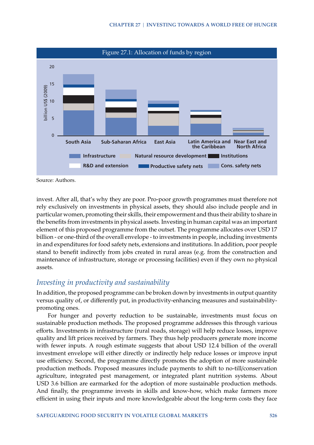<span id="page-8-0"></span>

Source: Authors.

invest. After all, that's why they are poor. Pro-poor growth programmes must therefore not rely exclusively on investments in physical assets, they should also include people and in particular women, promoting their skills, their empowerment and thus their ability to share in the benefits from investments in physical assets. Investing in human capital was an important element of this proposed programme from the outset. The programme allocates over USD 17 billion - or one-third of the overall envelope - to investments in people, including investments in and expenditures for food safety nets, extensions and institutions. In addition, poor people stand to benefit indirectly from jobs created in rural areas (e.g. from the construction and maintenance of infrastructure, storage or processing facilities) even if they own no physical assets.

## *Investing in productivity and sustainability*

In addition, the proposed programme can be broken down by investments in output quantity versus quality of, or differently put, in productivity-enhancing measures and sustainabilitypromoting ones.

For hunger and poverty reduction to be sustainable, investments must focus on sustainable production methods. The proposed programme addresses this through various efforts. Investments in infrastructure (rural roads, storage) will help reduce losses, improve quality and lift prices received by farmers. They thus help producers generate more income with fewer inputs. A rough estimate suggests that about USD 12.4 billion of the overall investment envelope will either directly or indirectly help reduce losses or improve input use efficiency. Second, the programme directly promotes the adoption of more sustainable production methods. Proposed measures include payments to shift to no-till/conservation agriculture, integrated pest management, or integrated plant nutrition systems. About USD 3.6 billion are earmarked for the adoption of more sustainable production methods. And finally, the programme invests in skills and know-how, which make farmers more efficient in using their inputs and more knowledgeable about the long-term costs they face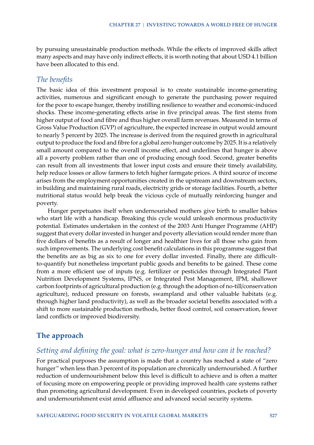by pursuing unsustainable production methods. While the effects of improved skills affect many aspects and may have only indirect effects, it is worth noting that about USD 4.1 billion have been allocated to this end.

#### *The benefits*

The basic idea of this investment proposal is to create sustainable income-generating activities, numerous and significant enough to generate the purchasing power required for the poor to escape hunger, thereby instilling resilience to weather and economic-induced shocks. These income-generating effects arise in five principal areas. The first stems from higher output of food and fibre and thus higher overall farm revenues. Measured in terms of Gross Value Production (GVP) of agriculture, the expected increase in output would amount to nearly 5 percent by 2025. The increase is derived from the required growth in agricultural output to produce the food and fibre for a global zero hunger outcome by 2025. It is a relatively small amount compared to the overall income effect, and underlines that hunger is above all a poverty problem rather than one of producing enough food. Second, greater benefits can result from all investments that lower input costs and ensure their timely availability, help reduce losses or allow farmers to fetch higher farmgate prices. A third source of income arises from the employment opportunities created in the upstream and downstream sectors, in building and maintaining rural roads, electricity grids or storage facilities. Fourth, a better nutritional status would help break the vicious cycle of mutually reinforcing hunger and poverty.

Hunger perpetuates itself when undernourished mothers give birth to smaller babies who start life with a handicap. Breaking this cycle would unleash enormous productivity potential. Estimates undertaken in the context of the 2003 Anti Hunger Programme (AHP) suggest that every dollar invested in hunger and poverty alleviation would render more than five dollars of benefits as a result of longer and healthier lives for all those who gain from such improvements. The underlying cost benefit calculations in this programme suggest that the benefits are as big as six to one for every dollar invested. Finally, there are difficultto-quantify but nonetheless important public goods and benefits to be gained. These come from a more efficient use of inputs (e.g. fertilizer or pesticides through Integrated Plant Nutrition Development Systems, IPNS, or Integrated Pest Management, IPM, shallower carbon footprints of agricultural production (e.g. through the adoption of no-till/conservation agriculture), reduced pressure on forests, swampland and other valuable habitats (e.g. through higher land productivity), as well as the broader societal benefits associated with a shift to more sustainable production methods, better flood control, soil conservation, fewer land conflicts or improved biodiversity.

## **The approach**

## *Setting and defining the goal: what is zero-hunger and how can it be reached?*

For practical purposes the assumption is made that a country has reached a state of "zero hunger" when less than 3 percent of its population are chronically undernourished. A further reduction of undernourishment below this level is difficult to achieve and is often a matter of focusing more on empowering people or providing improved health care systems rather than promoting agricultural development. Even in developed countries, pockets of poverty and undernourishment exist amid affluence and advanced social security systems.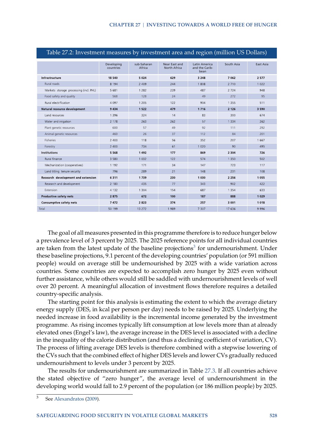<span id="page-10-1"></span>

| Table 27.2: Investment measures by investment area and region (million US Dollars) |                         |                       |                                      |                                                |            |                  |
|------------------------------------------------------------------------------------|-------------------------|-----------------------|--------------------------------------|------------------------------------------------|------------|------------------|
|                                                                                    | Developing<br>countries | sub-Saharan<br>Africa | Near East and<br><b>North Africa</b> | <b>Latin America</b><br>and the Carib-<br>bean | South Asia | <b>East Asia</b> |
| Infrastructure                                                                     | 18 540                  | 5 0 2 4               | 629                                  | 3 2 4 8                                        | 7 0 6 2    | 2 5 7 7          |
| Rural roads                                                                        | 8 1 9 4                 | 2 4 0 9               | 244                                  | 1808                                           | 2 7 1 0    | 1 0 2 2          |
| Markets storage processing (incl. PHL)                                             | 5 681                   | 1 2 8 2               | 239                                  | 487                                            | 2 7 2 4    | 948              |
| Food safety and quality                                                            | 568                     | 128                   | 24                                   | 49                                             | 272        | 95               |
| Rural electrification                                                              | 4 0 9 7                 | 1 2 0 5               | 122                                  | 904                                            | 1355       | 511              |
| Natural resource development                                                       | 9434                    | 1 5 2 2               | 479                                  | 1716                                           | 2 1 2 6    | 3 5 9 0          |
| Land resources                                                                     | 1 3 9 6                 | 324                   | 14                                   | 83                                             | 300        | 674              |
| Water and irrigation                                                               | 2 1 7 8                 | 263                   | 262                                  | 57                                             | 1 3 3 4    | 262              |
| Plant genetic resources                                                            | 600                     | 57                    | 49                                   | 92                                             | 111        | 292              |
| Animal genetic resources                                                           | 460                     | 26                    | 37                                   | 112                                            | 84         | 201              |
| Fisheries                                                                          | 2 4 0 0                 | 118                   | 56                                   | 352                                            | 207        | 1667             |
| Forestry                                                                           | 2 4 0 0                 | 734                   | 61                                   | 1 0 2 0                                        | 90         | 495              |
| <b>Institutions</b>                                                                | 5 5 6 8                 | 1492                  | 177                                  | 869                                            | 2 3 0 4    | 726              |
| Rural finance                                                                      | 3 5 8 0                 | 1 0 3 2               | 122                                  | 574                                            | 1 3 5 0    | 502              |
| Mechanization (cooperatives)                                                       | 1 1 9 2                 | 171                   | 34                                   | 147                                            | 723        | 117              |
| Land titling tenure security                                                       | 796                     | 289                   | 21                                   | 148                                            | 231        | 108              |
| Research development and extension                                                 | 6 3 1 1                 | 1739                  | 230                                  | 1030                                           | 2 2 5 6    | 1055             |
| Research and development                                                           | 2 1 8 0                 | 435                   | 77                                   | 343                                            | 902        | 422              |
| Extension                                                                          | 4 1 3 2                 | 1 3 0 4               | 154                                  | 687                                            | 1 3 5 4    | 633              |
| <b>Productive safety nets</b>                                                      | 2875                    | 672                   | 100                                  | 187                                            | 888        | 1029             |
| Consumptive safety nets                                                            | 7472                    | 2823                  | 374                                  | 257                                            | 3 0 0 1    | 1018             |
| Total                                                                              | 50 199                  | 13 27 2               | 1989                                 | 7 3 0 7                                        | 17 636     | 9996             |

## The goal of all measures presented in this programme therefore is to reduce hunger below a prevalence level of 3 percent by 2025. The 2025 reference points for all individual countries are taken from the latest update of the baseline projections<sup>[3](#page-10-0)</sup> for undernourishment. Under these baseline projections, 9.1 percent of the developing countries' population (or 591 million people) would on average still be undernourished by 2025 with a wide variation across countries. Some countries are expected to accomplish zero hunger by 2025 even without further assistance, while others would still be saddled with undernourishment levels of well over 20 percent. A meaningful allocation of investment flows therefore requires a detailed country-specific analysis.

The starting point for this analysis is estimating the extent to which the average dietary energy supply (DES, in kcal per person per day) needs to be raised by 2025. Underlying the needed increase in food availability is the incremental income generated by the investment programme. As rising incomes typically lift consumption at low levels more than at already elevated ones (Engel's law), the average increase in the DES level is associated with a decline in the inequality of the calorie distribution (and thus a declining coefficient of variation, CV). The process of lifting average DES levels is therefore combined with a stepwise lowering of the CVs such that the combined effect of higher DES levels and lower CVs gradually reduced undernourishment to levels under 3 percent by 2025.

The results for undernourishment are summarized in Table [27.3.](#page-11-0) If all countries achieve the stated objective of "zero hunger", the average level of undernourishment in the developing world would fall to 2.9 percent of the population (or 186 million people) by 2025.

<span id="page-10-0"></span>See [Alexandratos](#page-30-0) [\(2009\)](#page-30-0).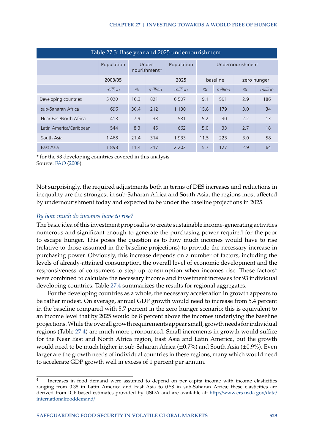<span id="page-11-0"></span>

| Table 27.3: Base year and 2025 undernourishment |            |               |                        |            |               |          |                  |             |  |
|-------------------------------------------------|------------|---------------|------------------------|------------|---------------|----------|------------------|-------------|--|
|                                                 | Population |               | Under-<br>nourishment* | Population |               |          | Undernourishment |             |  |
|                                                 | 2003/05    |               |                        | 2025       |               | baseline |                  | zero hunger |  |
|                                                 | million    | $\frac{1}{2}$ | million                | million    | $\frac{1}{2}$ | million  | $\frac{1}{2}$    | million     |  |
| Developing countries                            | 5 0 2 0    | 16.3          | 821                    | 6 5 0 7    | 9.1           | 591      | 2.9              | 186         |  |
| sub-Saharan Africa                              | 696        | 30.4          | 212                    | 1 1 3 0    | 15.8          | 179      | 3.0              | 34          |  |
| Near East/North Africa                          | 413        | 7.9           | 33                     | 581        | 5.2           | 30       | 2.2              | 13          |  |
| Latin America/Caribbean                         | 544        | 8.3           | 45                     | 662        | 5.0           | 33       | 2.7              | 18          |  |
| South Asia                                      | 1468       | 21.4          | 314                    | 1933       | 11.5          | 223      | 3.0              | 58          |  |
| East Asia                                       | 1898       | 11.4          | 217                    | 2 2 0 2    | 5.7           | 127      | 2.9              | 64          |  |

\* for the 93 developing countries covered in this analysis Source: [FAO](#page-31-5) [\(2008\)](#page-31-5).

Not surprisingly, the required adjustments both in terms of DES increases and reductions in inequality are the strongest in sub-Saharan Africa and South Asia, the regions most affected by undernourishment today and expected to be under the baseline projections in 2025.

#### *By how much do incomes have to rise?*

The basic idea of this investment proposal is to create sustainable income-generating activities numerous and significant enough to generate the purchasing power required for the poor to escape hunger. This poses the question as to how much incomes would have to rise (relative to those assumed in the baseline projections) to provide the necessary increase in purchasing power. Obviously, this increase depends on a number of factors, including the levels of already-attained consumption, the overall level of economic development and the responsiveness of consumers to step up consumption when incomes rise. These factors<sup>[4](#page-11-1)</sup> were combined to calculate the necessary income and investment increases for 93 individual developing countries. Table [27.4](#page-12-0) summarizes the results for regional aggregates.

For the developing countries as a whole, the necessary acceleration in growth appears to be rather modest. On average, annual GDP growth would need to increase from 5.4 percent in the baseline compared with 5.7 percent in the zero hunger scenario; this is equivalent to an income level that by 2025 would be 8 percent above the incomes underlying the baseline projections.While the overall growth requirements appear small, growth needs for individual regions (Table [27.4\)](#page-12-0) are much more pronounced. Small increments in growth would suffice for the Near East and North Africa region, East Asia and Latin America, but the growth would need to be much higher in sub-Saharan Africa (±0.7%) and South Asia (±0.9%). Even larger are the growth needs of individual countries in these regions, many which would need to accelerate GDP growth well in excess of 1 percent per annum.

<span id="page-11-1"></span><sup>4</sup> Increases in food demand were assumed to depend on per capita income with income elasticities ranging from 0.38 in Latin America and East Asia to 0.58 in sub-Saharan Africa; these elasticities are derived from ICP-based estimates provided by USDA and are available at: http://[www.ers.usda.gov](http://www.ers.usda.gov/data/internationalfooddemand/)/data/ [internationalfooddemand](http://www.ers.usda.gov/data/internationalfooddemand/)/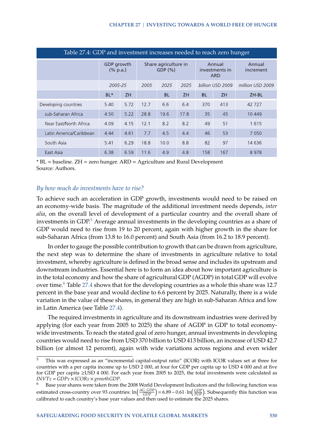<span id="page-12-0"></span>

| Table 27.4: GDP and investment increases needed to reach zero hunger |                        |                                 |                                |           |           |                  |                                        |                     |  |
|----------------------------------------------------------------------|------------------------|---------------------------------|--------------------------------|-----------|-----------|------------------|----------------------------------------|---------------------|--|
|                                                                      | GDP growth<br>(% p.a.) |                                 | Share agriculture in<br>GDP(%) |           |           |                  | Annual<br>investments in<br><b>ARD</b> | Annual<br>increment |  |
|                                                                      |                        | 2025<br>2025<br>2005-25<br>2005 |                                |           |           | billion USD 2009 | million USD 2009                       |                     |  |
|                                                                      | $BL*$                  | <b>ZH</b>                       |                                | <b>BL</b> | <b>ZH</b> | <b>BL</b>        | <b>ZH</b>                              | ZH-BL               |  |
| Developing countries                                                 | 5.40                   | 5.72                            | 12.7                           | 6.6       | 6.4       | 370              | 413                                    | 42 727              |  |
| sub-Saharan Africa                                                   | 4.50                   | 5.22                            | 28.8                           | 19.6      | 17.8      | 35               | 45                                     | 10 449              |  |
| Near East/North Africa                                               | 4.09                   | 4.15                            | 12.1                           | 8.2       | 8.2       | 49               | 51                                     | 1615                |  |
| Latin America/Caribbean                                              | 4.44                   | 4.61                            | 7.7                            | 4.5       | 4.4       | 46               | 53                                     | 7 0 5 0             |  |
| South Asia                                                           | 5.41                   | 6.29                            | 18.8                           | 10.0      | 8.8       | 82               | 97                                     | 14 636              |  |
| East Asia                                                            | 6.38                   | 6.59                            | 11.6                           | 4.9       | 4.8       | 158              | 167                                    | 8978                |  |

\* BL = baseline. ZH = zero hunger. ARD = Agriculture and Rural Development Source: Authors.

#### *By how much do investments have to rise?*

To achieve such an acceleration in GDP growth, investments would need to be raised on an economy-wide basis. The magnitude of the additional investment needs depends, *inter alia*, on the overall level of development of a particular country and the overall share of investments in  $GDP<sup>5</sup>$  $GDP<sup>5</sup>$  $GDP<sup>5</sup>$  Average annual investments in the developing countries as a share of GDP would need to rise from 19 to 20 percent, again with higher growth in the share for sub-Saharan Africa (from 13.8 to 16.0 percent) and South Asia (from 16.2 to 18.9 percent).

In order to gauge the possible contribution to growth that can be drawn from agriculture, the next step was to determine the share of investments in agriculture relative to total investment, whereby agriculture is defined in the broad sense and includes its upstream and downstream industries. Essential here is to form an idea about how important agriculture is in the total economy and how the share of agricultural GDP (AGDP) in total GDP will evolve over time.<sup>[6](#page-12-2)</sup> Table [27.4](#page-12-0) shows that for the developing countries as a whole this share was 12.7 percent in the base year and would decline to 6.6 percent by 2025. Naturally, there is a wide variation in the value of these shares, in general they are high in sub-Saharan Africa and low in Latin America (see Table [27.4\)](#page-12-0).

The required investments in agriculture and its downstream industries were derived by applying (for each year from 2005 to 2025) the share of AGDP in GDP to total economywide investments. To reach the stated goal of zero hunger, annual investments in developing countries would need to rise from USD 370 billion to USD 413 billion, an increase of USD 42.7 billion (or almost 12 percent), again with wide variations across regions and even wider

<span id="page-12-1"></span><sup>5</sup> This was expressed as an "incremental capital-output ratio" (ICOR) with ICOR values set at three for countries with a per capita income up to USD 2 000, at four for GDP per capita up to USD 4 000 and at five for GDP per capita ≥USD 4 000. For each year from 2005 to 2025, the total investments were calculated as *INVT*<sup>*T*</sup> = *GDP*<sup>*T*</sup> × *ICOR*<sup>*T*</sup> × *growthGDP*.

<span id="page-12-2"></span><sup>6</sup> Base year shares were taken from the 2008 World Development Indicators and the following function was estimated cross-country over 93 countries:  $\ln(\frac{AG\_GDP}{GDP}) = 6.89 - 0.61 \cdot \ln(\frac{GDP}{POP})$ . Subsequently this function was calibrated to each country's base year values and then used to estimate the 2025 shares.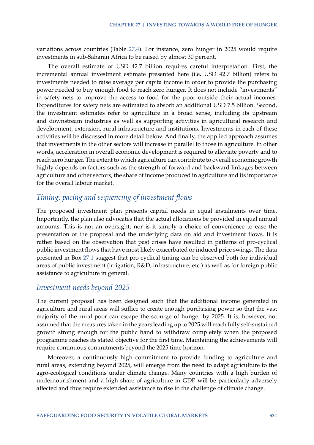variations across countries (Table [27.4\)](#page-12-0). For instance, zero hunger in 2025 would require investments in sub-Saharan Africa to be raised by almost 30 percent.

The overall estimate of USD 42.7 billion requires careful interpretation. First, the incremental annual investment estimate presented here (i.e. USD 42.7 billion) refers to investments needed to raise average per capita income in order to provide the purchasing power needed to buy enough food to reach zero hunger. It does not include "investments" in safety nets to improve the access to food for the poor outside their actual incomes. Expenditures for safety nets are estimated to absorb an additional USD 7.5 billion. Second, the investment estimates refer to agriculture in a broad sense, including its upstream and downstream industries as well as supporting activities in agricultural research and development, extension, rural infrastructure and institutions. Investments in each of these activities will be discussed in more detail below. And finally, the applied approach assumes that investments in the other sectors will increase in parallel to those in agriculture. In other words, acceleration in overall economic development is required to alleviate poverty and to reach zero hunger. The extent to which agriculture can contribute to overall economic growth highly depends on factors such as the strength of forward and backward linkages between agriculture and other sectors, the share of income produced in agriculture and its importance for the overall labour market.

## *Timing, pacing and sequencing of investment flows*

The proposed investment plan presents capital needs in equal instalments over time. Importantly, the plan also advocates that the actual allocations be provided in equal annual amounts. This is not an oversight; nor is it simply a choice of convenience to ease the presentation of the proposal and the underlying data on aid and investment flows. It is rather based on the observation that past crises have resulted in patterns of pro-cyclical public investment flows that have most likely exacerbated or induced price swings. The data presented in Box [27.1](#page-14-0) suggest that pro-cyclical timing can be observed both for individual areas of public investment (irrigation, R&D, infrastructure, etc.) as well as for foreign public assistance to agriculture in general.

#### *Investment needs beyond 2025*

The current proposal has been designed such that the additional income generated in agriculture and rural areas will suffice to create enough purchasing power so that the vast majority of the rural poor can escape the scourge of hunger by 2025. It is, however, not assumed that the measures taken in the years leading up to 2025 will reach fully self-sustained growth strong enough for the public hand to withdraw completely when the proposed programme reaches its stated objective for the first time. Maintaining the achievements will require continuous commitments beyond the 2025 time horizon.

Moreover, a continuously high commitment to provide funding to agriculture and rural areas, extending beyond 2025, will emerge from the need to adapt agriculture to the agro-ecological conditions under climate change. Many countries with a high burden of undernourishment and a high share of agriculture in GDP will be particularly adversely affected and thus require extended assistance to rise to the challenge of climate change.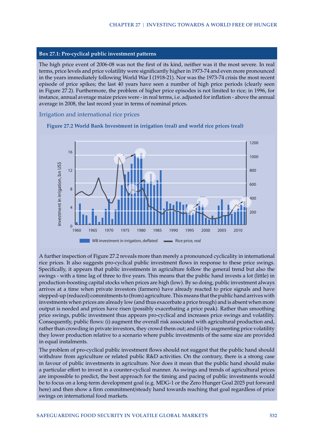#### <span id="page-14-0"></span>**Box 27.1: Pro-cyclical public investment patterns**

The high price event of 2006-08 was not the first of its kind, neither was it the most severe. In real terms, price levels and price volatility were significantly higher in 1973-74 and even more pronounced in the years immediately following World War I (1918-21). Nor was the 1973-74 crisis the most recent episode of price spikes; the last 40 years have seen a number of high price periods (clearly seen in Figure 27.2). Furthermore, the problem of higher price episodes is not limited to rice; in 1996, for instance, annual average maize prices were - in real terms, i.e. adjusted for inflation - above the annual average in 2008, the last record year in terms of nominal prices.

#### Irrigation and international rice prices



**Figure 27.2 World Bank Investment in irrigation (real) and world rice prices (real)**

A further inspection of Figure 27.2 reveals more than merely a pronounced cyclicality in international rice prices. It also suggests pro-cyclical public investment flows in response to these price swings. Specifically, it appears that public investments in agriculture follow the general trend but also the swings - with a time lag of three to five years. This means that the public hand invests a lot (little) in production-boosting capital stocks when prices are high (low). By so doing, public investment always arrives at a time when private investors (farmers) have already reacted to price signals and have stepped-up (reduced) commitments to (from) agriculture. This means that the public hand arrives with investments when prices are already low (and thus exacerbate a price trough) and is absent when more output is needed and prices have risen (possibly exacerbating a price peak). Rather than smoothing price swings, public investment thus appears pro-cyclical and increases price swings and volatility. Consequently, public flows: (i) augment the overall risk associated with agricultural production and, rather than crowding in private investors, they crowd them out; and (ii) by augmenting price volatility they lower production relative to a scenario where public investments of the same size are provided in equal instalments.

The problem of pro-cyclical public investment flows should not suggest that the public hand should withdraw from agriculture or related public R&D activities. On the contrary, there is a strong case in favour of public investments in agriculture. Nor does it mean that the public hand should make a particular effort to invest in a counter-cyclical manner. As swings and trends of agricultural prices are impossible to predict, the best approach for the timing and pacing of public investments would be to focus on a long-term development goal (e.g. MDG-1 or the Zero Hunger Goal 2025 put forward here) and then show a firm commitment/steady hand towards reaching that goal regardless of price swings on international food markets.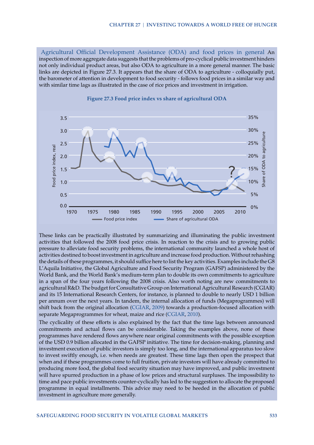Agricultural Official Development Assistance (ODA) and food prices in general An inspection of more aggregate data suggests that the problems of pro-cyclical public investment hinders not only individual product areas, but also ODA to agriculture in a more general manner. The basic links are depicted in Figure 27.3. It appears that the share of ODA to agriculture - colloquially put, the barometer of attention in development to food security - follows food prices in a similar way and with similar time lags as illustrated in the case of rice prices and investment in irrigation.





These links can be practically illustrated by summarizing and illuminating the public investment activities that followed the 2008 food price crisis. In reaction to the crisis and to growing public pressure to alleviate food security problems, the international community launched a whole host of activities destined to boost investment in agriculture and increase food production. Without rehashing the details of these programmes, it should suffice here to list the key activities. Examples include the G8 L'Aquila Initiative, the Global Agriculture and Food Security Program (GAFSP) administered by the World Bank, and the World Bank's medium-term plan to double its own commitments to agriculture in a span of the four years following the 2008 crisis. Also worth noting are new commitments to agricultural R&D. The budget for Consultative Group on International Agricultural Research (CGIAR) and its 15 International Research Centers, for instance, is planned to double to nearly USD 1 billion per annum over the next years. In tandem, the internal allocation of funds (Megaprogrammes) will shift back from the original allocation [\(CGIAR,](#page-30-1) [2009\)](#page-30-1) towards a production-focused allocation with separate Megaprogrammes for wheat, maize and rice [\(CGIAR,](#page-31-6) [2010\)](#page-31-6).

The cyclicality of these efforts is also explained by the fact that the time lags between announced commitments and actual flows can be considerable. Taking the examples above, none of these programmes have rendered flows anywhere near original commitments with the possible exception of the USD 0.9 billion allocated in the GAFSP initiative. The time for decision-making, planning and investment execution of public investors is simply too long, and the international apparatus too slow to invest swiftly enough, i.e. when needs are greatest. These time lags then open the prospect that when and if these programmes come to full fruition, private investors will have already committed to producing more food, the global food security situation may have improved, and public investment will have spurred production in a phase of low prices and structural surpluses. The impossibility to time and pace public investments counter-cyclically has led to the suggestion to allocate the proposed programme in equal installments. This advice may need to be heeded in the allocation of public investment in agriculture more generally.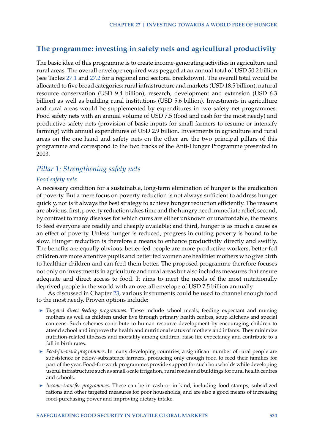## **The programme: investing in safety nets and agricultural productivity**

The basic idea of this programme is to create income-generating activities in agriculture and rural areas. The overall envelope required was pegged at an annual total of USD 50.2 billion (see Tables [27.1](#page-7-0) and [27.2](#page-10-1) for a regional and sectoral breakdown). The overall total would be allocated to five broad categories: rural infrastructure and markets (USD 18.5 billion), natural resource conservation (USD 9.4 billion), research, development and extension (USD 6.3 billion) as well as building rural institutions (USD 5.6 billion). Investments in agriculture and rural areas would be supplemented by expenditures in two safety net programmes: Food safety nets with an annual volume of USD 7.5 (food and cash for the most needy) and productive safety nets (provision of basic inputs for small farmers to resume or intensify farming) with annual expenditures of USD 2.9 billion. Investments in agriculture and rural areas on the one hand and safety nets on the other are the two principal pillars of this programme and correspond to the two tracks of the Anti-Hunger Programme presented in 2003.

## *Pillar 1: Strengthening safety nets*

#### *Food safety nets*

A necessary condition for a sustainable, long-term elimination of hunger is the eradication of poverty. But a mere focus on poverty reduction is not always sufficient to address hunger quickly, nor is it always the best strategy to achieve hunger reduction efficiently. The reasons are obvious: first, poverty reduction takes time and the hungry need immediate relief; second, by contrast to many diseases for which cures are either unknown or unaffordable, the means to feed everyone are readily and cheaply available; and third, hunger is as much a cause as an effect of poverty. Unless hunger is reduced, progress in cutting poverty is bound to be slow. Hunger reduction is therefore a means to enhance productivity directly and swiftly. The benefits are equally obvious: better-fed people are more productive workers, better-fed children are more attentive pupils and better fed women are healthier mothers who give birth to healthier children and can feed them better. The proposed programme therefore focuses not only on investments in agriculture and rural areas but also includes measures that ensure adequate and direct access to food. It aims to meet the needs of the most nutritionally deprived people in the world with an overall envelope of USD 7.5 billion annually.

As discussed in Chapter [23,](http://www.fao.org/docrep/013/I2107E/I2107E23.pdf) various instruments could be used to channel enough food to the most needy. Proven options include:

- $\triangleright$  *Targeted direct feeding programmes*. These include school meals, feeding expectant and nursing mothers as well as children under five through primary health centres, soup kitchens and special canteens. Such schemes contribute to human resource development by encouraging children to attend school and improve the health and nutritional status of mothers and infants. They minimize nutrition-related illnesses and mortality among children, raise life expectancy and contribute to a fall in birth rates.
- ► *Food-for-work programmes*. In many developing countries, a significant number of rural people are subsistence or below-subsistence farmers, producing only enough food to feed their families for part of the year. Food-for-work programmes provide support for such households while developing useful infrastructure such as small-scale irrigation, rural roads and buildings for rural health centres and schools.
- ► *Income-transfer programmes*. These can be in cash or in kind, including food stamps, subsidized rations and other targeted measures for poor households, and are also a good means of increasing food-purchasing power and improving dietary intake.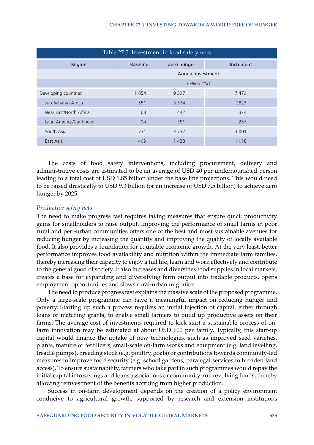| Table 27.5: Investment in food safety nets |                   |             |           |  |  |  |
|--------------------------------------------|-------------------|-------------|-----------|--|--|--|
| Region                                     | <b>Baseline</b>   | Zero hunger | Increment |  |  |  |
|                                            | Annual investment |             |           |  |  |  |
|                                            | million USD       |             |           |  |  |  |
| Developing countries                       | 1854              | 9 3 2 7     | 7472      |  |  |  |
| sub-Saharan Africa                         | 551               | 3 3 7 4     | 2823      |  |  |  |
| Near East/North Africa                     | 68                | 442         | 374       |  |  |  |
| Latin America/Caribbean                    | 94                | 351         | 257       |  |  |  |
| South Asia                                 | 731               | 3732        | 3 0 0 1   |  |  |  |
| East Asia                                  | 409               | 1428        | 1018      |  |  |  |

The costs of food safety interventions, including procurement, delivery and administrative costs are estimated to be an average of USD 40 per undernourished person leading to a total cost of USD 1.85 billion under the base line projections. This would need to be raised drastically to USD 9.3 billion (or an increase of USD 7.5 billion) to achieve zero hunger by 2025.

#### *Productive safety nets*

The need to make progress fast requires taking measures that ensure quick productivity gains for smallholders to raise output. Improving the performance of small farms in poor rural and peri-urban communities offers one of the best and most sustainable avenues for reducing hunger by increasing the quantity and improving the quality of locally available food. It also provides a foundation for equitable economic growth. At the very least, better performance improves food availability and nutrition within the immediate farm families, thereby increasing their capacity to enjoy a full life, learn and work effectively and contribute to the general good of society. It also increases and diversifies food supplies in local markets, creates a base for expanding and diversifying farm output into tradable products, opens employment opportunities and slows rural-urban migration.

The need to produce progress fast explains the massive scale of the proposed programme. Only a large-scale programme can have a meaningful impact on reducing hunger and poverty. Starting up such a process requires an initial injection of capital, either through loans or matching grants, to enable small farmers to build up productive assets on their farms. The average cost of investments required to kick-start a sustainable process of onfarm innovation may be estimated at about USD 600 per family. Typically, this start-up capital would finance the uptake of new technologies, such as improved seed varieties, plants, manure or fertilizers, small-scale on-farm works and equipment (e.g. land levelling, treadle pumps), breeding stock (e.g. poultry, goats) or contributions towards community-led measures to improve food security (e.g. school gardens, paralegal services to broaden land access). To ensure sustainability, farmers who take part in such programmes would repay the initial capital into savings and loans associations or community-run revolving funds, thereby allowing reinvestment of the benefits accruing from higher production.

Success in on-farm development depends on the creation of a policy environment conducive to agricultural growth, supported by research and extension institutions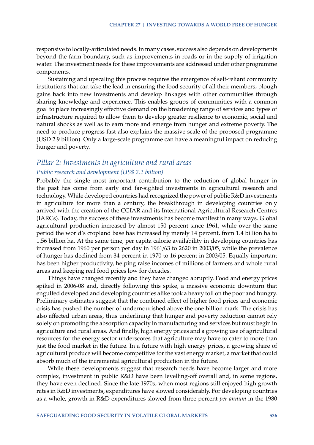responsive to locally-articulated needs. In many cases, success also depends on developments beyond the farm boundary, such as improvements in roads or in the supply of irrigation water. The investment needs for these improvements are addressed under other programme components.

Sustaining and upscaling this process requires the emergence of self-reliant community institutions that can take the lead in ensuring the food security of all their members, plough gains back into new investments and develop linkages with other communities through sharing knowledge and experience. This enables groups of communities with a common goal to place increasingly effective demand on the broadening range of services and types of infrastructure required to allow them to develop greater resilience to economic, social and natural shocks as well as to earn more and emerge from hunger and extreme poverty. The need to produce progress fast also explains the massive scale of the proposed programme (USD 2.9 billion). Only a large-scale programme can have a meaningful impact on reducing hunger and poverty.

## *Pillar 2: Investments in agriculture and rural areas Public research and development (US\$ 2.2 billion)*

Probably the single most important contribution to the reduction of global hunger in the past has come from early and far-sighted investments in agricultural research and technology. While developed countries had recognized the power of public R&D investments in agriculture for more than a century, the breakthrough in developing countries only arrived with the creation of the CGIAR and its International Agricultural Research Centres (IARCs). Today, the success of these investments has become manifest in many ways. Global agricultural production increased by almost 150 percent since 1961, while over the same period the world's cropland base has increased by merely 14 percent, from 1.4 billion ha to 1.56 billion ha. At the same time, per capita calorie availability in developing countries has increased from 1960 per person per day in 1961/63 to 2620 in 2003/05, while the prevalence of hunger has declined from 34 percent in 1970 to 16 percent in 2003/05. Equally important has been higher productivity, helping raise incomes of millions of farmers and whole rural areas and keeping real food prices low for decades.

Things have changed recently and they have changed abruptly. Food and energy prices spiked in 2006-08 and, directly following this spike, a massive economic downturn that engulfed developed and developing countries alike took a heavy toll on the poor and hungry. Preliminary estimates suggest that the combined effect of higher food prices and economic crisis has pushed the number of undernourished above the one billion mark. The crisis has also affected urban areas, thus underlining that hunger and poverty reduction cannot rely solely on promoting the absorption capacity in manufacturing and services but must begin in agriculture and rural areas. And finally, high energy prices and a growing use of agricultural resources for the energy sector underscores that agriculture may have to cater to more than just the food market in the future. In a future with high energy prices, a growing share of agricultural produce will become competitive for the vast energy market, a market that could absorb much of the incremental agricultural production in the future.

While these developments suggest that research needs have become larger and more complex, investment in public R&D have been levelling-off overall and, in some regions, they have even declined. Since the late 1970s, when most regions still enjoyed high growth rates in R&D investments, expenditures have slowed considerably. For developing countries as a whole, growth in R&D expenditures slowed from three percent *per annum* in the 1980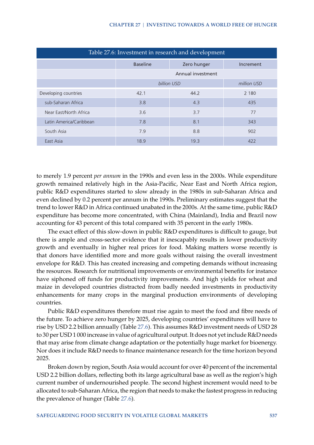<span id="page-19-0"></span>

| Table 27.6: Investment in research and development |                   |             |           |  |  |  |  |
|----------------------------------------------------|-------------------|-------------|-----------|--|--|--|--|
|                                                    | <b>Baseline</b>   | Zero hunger | Increment |  |  |  |  |
|                                                    | Annual investment |             |           |  |  |  |  |
| billion USD<br>million USD                         |                   |             |           |  |  |  |  |
| Developing countries                               | 42.1              | 44.2        | 2 1 8 0   |  |  |  |  |
| sub-Saharan Africa                                 | 3.8               | 4.3         | 435       |  |  |  |  |
| Near East/North Africa                             | 3.6               | 3.7         | 77        |  |  |  |  |
| Latin America/Caribbean                            | 7.8               | 8.1         | 343       |  |  |  |  |
| South Asia                                         | 7.9               | 8.8         | 902       |  |  |  |  |
| East Asia                                          | 18.9              | 19.3        | 422       |  |  |  |  |

to merely 1.9 percent *per annum* in the 1990s and even less in the 2000s. While expenditure growth remained relatively high in the Asia-Pacific, Near East and North Africa region, public R&D expenditures started to slow already in the 1980s in sub-Saharan Africa and even declined by 0.2 percent per annum in the 1990s. Preliminary estimates suggest that the trend to lower R&D in Africa continued unabated in the 2000s. At the same time, public R&D expenditure has become more concentrated, with China (Mainland), India and Brazil now accounting for 43 percent of this total compared with 35 percent in the early 1980s.

The exact effect of this slow-down in public R&D expenditures is difficult to gauge, but there is ample and cross-sector evidence that it inescapably results in lower productivity growth and eventually in higher real prices for food. Making matters worse recently is that donors have identified more and more goals without raising the overall investment envelope for R&D. This has created increasing and competing demands without increasing the resources. Research for nutritional improvements or environmental benefits for instance have siphoned off funds for productivity improvements. And high yields for wheat and maize in developed countries distracted from badly needed investments in productivity enhancements for many crops in the marginal production environments of developing countries.

Public R&D expenditures therefore must rise again to meet the food and fibre needs of the future. To achieve zero hunger by 2025, developing countries' expenditures will have to rise by USD 2.2 billion annually (Table [27.6\)](#page-19-0). This assumes R&D investment needs of USD 28 to 30 per USD 1 000 increase in value of agricultural output. It does not yet include R&D needs that may arise from climate change adaptation or the potentially huge market for bioenergy. Nor does it include R&D needs to finance maintenance research for the time horizon beyond 2025.

Broken down by region, South Asia would account for over 40 percent of the incremental USD 2.2 billion dollars, reflecting both its large agricultural base as well as the region's high current number of undernourished people. The second highest increment would need to be allocated to sub-Saharan Africa, the region that needs to make the fastest progress in reducing the prevalence of hunger (Table [27.6\)](#page-19-0).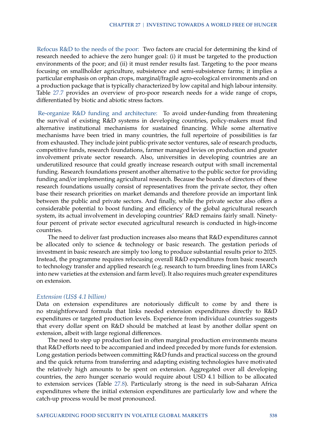Refocus R&D to the needs of the poor: Two factors are crucial for determining the kind of research needed to achieve the zero hunger goal: (i) it must be targeted to the production environments of the poor; and (ii) it must render results fast. Targeting to the poor means focusing on smallholder agriculture, subsistence and semi-subsistence farms; it implies a particular emphasis on orphan crops, marginal/fragile agro-ecological environments and on a production package that is typically characterized by low capital and high labour intensity. Table [27.7](#page-21-0) provides an overview of pro-poor research needs for a wide range of crops, differentiated by biotic and abiotic stress factors.

Re-organize R&D funding and architecture: To avoid under-funding from threatening the survival of existing R&D systems in developing countries, policy-makers must find alternative institutional mechanisms for sustained financing. While some alternative mechanisms have been tried in many countries, the full repertoire of possibilities is far from exhausted. They include joint public-private sector ventures, sale of research products, competitive funds, research foundations, farmer managed levies on production and greater involvement private sector research. Also, universities in developing countries are an underutilized resource that could greatly increase research output with small incremental funding. Research foundations present another alternative to the public sector for providing funding and/or implementing agricultural research. Because the boards of directors of these research foundations usually consist of representatives from the private sector, they often base their research priorities on market demands and therefore provide an important link between the public and private sectors. And finally, while the private sector also offers a considerable potential to boost funding and efficiency of the global agricultural research system, its actual involvement in developing countries' R&D remains fairly small. Ninetyfour percent of private sector executed agricultural research is conducted in high-income countries.

The need to deliver fast production increases also means that R&D expenditures cannot be allocated only to science & technology or basic research. The gestation periods of investment in basic research are simply too long to produce substantial results prior to 2025. Instead, the programme requires refocusing overall R&D expenditures from basic research to technology transfer and applied research (e.g. research to turn breeding lines from IARCs into new varieties at the extension and farm level). It also requires much greater expenditures on extension.

#### *Extension (US\$ 4.1 billion)*

Data on extension expenditures are notoriously difficult to come by and there is no straightforward formula that links needed extension expenditures directly to R&D expenditures or targeted production levels. Experience from individual countries suggests that every dollar spent on R&D should be matched at least by another dollar spent on extension, albeit with large regional differences.

The need to step up production fast in often marginal production environments means that R&D efforts need to be accompanied and indeed preceded by more funds for extension. Long gestation periods between committing R&D funds and practical success on the ground and the quick returns from transferring and adapting existing technologies have motivated the relatively high amounts to be spent on extension. Aggregated over all developing countries, the zero hunger scenario would require about USD 4.1 billion to be allocated to extension services (Table [27.8\)](#page-23-0). Particularly strong is the need in sub-Saharan Africa expenditures where the initial extension expenditures are particularly low and where the catch-up process would be most pronounced.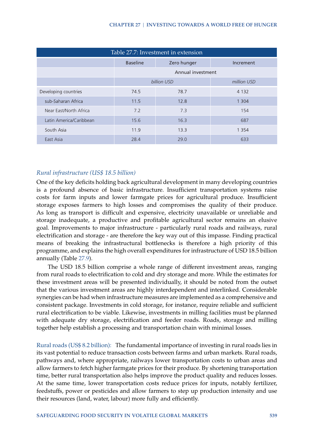<span id="page-21-0"></span>

| Table 27.7: Investment in extension |                            |             |           |  |  |  |
|-------------------------------------|----------------------------|-------------|-----------|--|--|--|
|                                     | <b>Baseline</b>            | Zero hunger | Increment |  |  |  |
|                                     | Annual investment          |             |           |  |  |  |
|                                     | billion USD<br>million USD |             |           |  |  |  |
| Developing countries                | 74.5                       | 78.7        | 4 1 3 2   |  |  |  |
| sub-Saharan Africa                  | 11.5                       | 12.8        | 1 3 0 4   |  |  |  |
| Near East/North Africa              | 7.2                        | 7.3         | 154       |  |  |  |
| Latin America/Caribbean             | 15.6                       | 16.3        | 687       |  |  |  |
| South Asia                          | 11.9                       | 13.3        | 1 3 5 4   |  |  |  |
| East Asia                           | 28.4                       | 29.0        | 633       |  |  |  |

#### *Rural infrastructure (US\$ 18.5 billion)*

One of the key deficits holding back agricultural development in many developing countries is a profound absence of basic infrastructure. Insufficient transportation systems raise costs for farm inputs and lower farmgate prices for agricultural produce. Insufficient storage exposes farmers to high losses and compromises the quality of their produce. As long as transport is difficult and expensive, electricity unavailable or unreliable and storage inadequate, a productive and profitable agricultural sector remains an elusive goal. Improvements to major infrastructure - particularly rural roads and railways, rural electrification and storage - are therefore the key way out of this impasse. Finding practical means of breaking the infrastructural bottlenecks is therefore a high priority of this programme, and explains the high overall expenditures for infrastructure of USD 18.5 billion annually (Table [27.9\)](#page-24-0).

The USD 18.5 billion comprise a whole range of different investment areas, ranging from rural roads to electrification to cold and dry storage and more. While the estimates for these investment areas will be presented individually, it should be noted from the outset that the various investment areas are highly interdependent and interlinked. Considerable synergies can be had when infrastructure measures are implemented as a comprehensive and consistent package. Investments in cold storage, for instance, require reliable and sufficient rural electrification to be viable. Likewise, investments in milling facilities must be planned with adequate dry storage, electrification and feeder roads. Roads, storage and milling together help establish a processing and transportation chain with minimal losses.

Rural roads (US\$ 8.2 billion): The fundamental importance of investing in rural roads lies in its vast potential to reduce transaction costs between farms and urban markets. Rural roads, pathways and, where appropriate, railways lower transportation costs to urban areas and allow farmers to fetch higher farmgate prices for their produce. By shortening transportation time, better rural transportation also helps improve the product quality and reduces losses. At the same time, lower transportation costs reduce prices for inputs, notably fertilizer, feedstuffs, power or pesticides and allow farmers to step up production intensity and use their resources (land, water, labour) more fully and efficiently.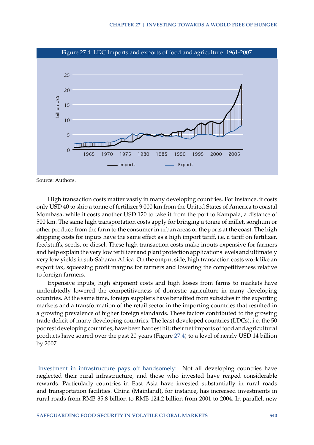<span id="page-22-0"></span>

Source: Authors.

High transaction costs matter vastly in many developing countries. For instance, it costs only USD 40 to ship a tonne of fertilizer 9 000 km from the United States of America to coastal Mombasa, while it costs another USD 120 to take it from the port to Kampala, a distance of 500 km. The same high transportation costs apply for bringing a tonne of millet, sorghum or other produce from the farm to the consumer in urban areas or the ports at the coast. The high shipping costs for inputs have the same effect as a high import tariff, i.e. a tariff on fertilizer, feedstuffs, seeds, or diesel. These high transaction costs make inputs expensive for farmers and help explain the very low fertilizer and plant protection applications levels and ultimately very low yields in sub-Saharan Africa. On the output side, high transaction costs work like an export tax, squeezing profit margins for farmers and lowering the competitiveness relative to foreign farmers.

Expensive inputs, high shipment costs and high losses from farms to markets have undoubtedly lowered the competitiveness of domestic agriculture in many developing countries. At the same time, foreign suppliers have benefited from subsidies in the exporting markets and a transformation of the retail sector in the importing countries that resulted in a growing prevalence of higher foreign standards. These factors contributed to the growing trade deficit of many developing countries. The least developed countries (LDCs), i.e. the 50 poorest developing countries, have been hardest hit; their net imports of food and agricultural products have soared over the past 20 years (Figure [27.4\)](#page-22-0) to a level of nearly USD 14 billion by 2007.

Investment in infrastructure pays off handsomely: Not all developing countries have neglected their rural infrastructure, and those who invested have reaped considerable rewards. Particularly countries in East Asia have invested substantially in rural roads and transportation facilities. China (Mainland), for instance, has increased investments in rural roads from RMB 35.8 billion to RMB 124.2 billion from 2001 to 2004. In parallel, new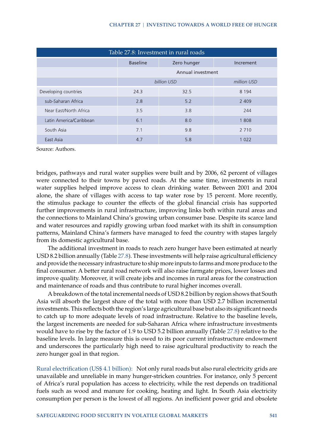<span id="page-23-0"></span>

| Table 27.8: Investment in rural roads |                            |             |           |  |  |  |
|---------------------------------------|----------------------------|-------------|-----------|--|--|--|
|                                       | <b>Baseline</b>            | Zero hunger | Increment |  |  |  |
|                                       | Annual investment          |             |           |  |  |  |
|                                       | billion USD<br>million USD |             |           |  |  |  |
| Developing countries                  | 24.3                       | 32.5        | 8 1 9 4   |  |  |  |
| sub-Saharan Africa                    | 2.8                        | 5.2         | 2 4 0 9   |  |  |  |
| Near East/North Africa                | 3.5                        | 3.8         | 244       |  |  |  |
| Latin America/Caribbean               | 6.1                        | 8.0         | 1808      |  |  |  |
| South Asia                            | 7.1                        | 9.8         | 2 7 1 0   |  |  |  |
| East Asia                             | 4.7                        | 5.8         | 1 0 2 2   |  |  |  |

Source: Authors.

bridges, pathways and rural water supplies were built and by 2006, 62 percent of villages were connected to their towns by paved roads. At the same time, investments in rural water supplies helped improve access to clean drinking water. Between 2001 and 2004 alone, the share of villages with access to tap water rose by 15 percent. More recently, the stimulus package to counter the effects of the global financial crisis has supported further improvements in rural infrastructure, improving links both within rural areas and the connections to Mainland China's growing urban consumer base. Despite its scarce land and water resources and rapidly growing urban food market with its shift in consumption patterns, Mainland China's farmers have managed to feed the country with stapes largely from its domestic agricultural base.

The additional investment in roads to reach zero hunger have been estimated at nearly USD 8.2 billion annually (Table [27.8\)](#page-23-0). These investments will help raise agricultural efficiency and provide the necessary infrastructure to ship more inputs to farms and more produce to the final consumer. A better rural road network will also raise farmgate prices, lower losses and improve quality. Moreover, it will create jobs and incomes in rural areas for the construction and maintenance of roads and thus contribute to rural higher incomes overall.

A breakdown of the total incremental needs of USD 8.2 billion by region shows that South Asia will absorb the largest share of the total with more than USD 2.7 billion incremental investments. This reflects both the region's large agricultural base but also its significant needs to catch up to more adequate levels of road infrastructure. Relative to the baseline levels, the largest increments are needed for sub-Saharan Africa where infrastructure investments would have to rise by the factor of 1.9 to USD 5.2 billion annually (Table [27.8\)](#page-23-0) relative to the baseline levels. In large measure this is owed to its poor current infrastructure endowment and underscores the particularly high need to raise agricultural productivity to reach the zero hunger goal in that region.

Rural electrification (US\$ 4.1 billion): Not only rural roads but also rural electricity grids are unavailable and unreliable in many hunger-stricken countries. For instance, only 5 percent of Africa's rural population has access to electricity, while the rest depends on traditional fuels such as wood and manure for cooking, heating and light. In South Asia electricity consumption per person is the lowest of all regions. An inefficient power grid and obsolete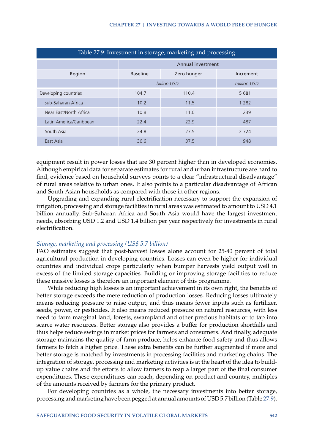<span id="page-24-0"></span>

| Table 27.9: Investment in storage, marketing and processing |                   |             |           |  |  |  |
|-------------------------------------------------------------|-------------------|-------------|-----------|--|--|--|
|                                                             | Annual investment |             |           |  |  |  |
| Region                                                      | <b>Baseline</b>   | Zero hunger | Increment |  |  |  |
|                                                             | billion USD       | million USD |           |  |  |  |
| Developing countries                                        | 104.7             | 110.4       | 5 681     |  |  |  |
| sub-Saharan Africa                                          | 10.2              | 11.5        | 1 2 8 2   |  |  |  |
| Near East/North Africa                                      | 10.8              | 11.0        | 239       |  |  |  |
| Latin America/Caribbean                                     | 22.4              | 22.9        | 487       |  |  |  |
| South Asia                                                  | 24.8              | 27.5        | 2 7 2 4   |  |  |  |
| East Asia                                                   | 36.6              | 37.5        | 948       |  |  |  |

equipment result in power losses that are 30 percent higher than in developed economies. Although empirical data for separate estimates for rural and urban infrastructure are hard to find, evidence based on household surveys points to a clear "infrastructural disadvantage" of rural areas relative to urban ones. It also points to a particular disadvantage of African and South Asian households as compared with those in other regions.

Upgrading and expanding rural electrification necessary to support the expansion of irrigation, processing and storage facilities in rural areas was estimated to amount to USD 4.1 billion annually. Sub-Saharan Africa and South Asia would have the largest investment needs, absorbing USD 1.2 and USD 1.4 billion per year respectively for investments in rural electrification.

#### *Storage, marketing and processing (US\$ 5.7 billion)*

FAO estimates suggest that post-harvest losses alone account for 25-40 percent of total agricultural production in developing countries. Losses can even be higher for individual countries and individual crops particularly when bumper harvests yield output well in excess of the limited storage capacities. Building or improving storage facilities to reduce these massive losses is therefore an important element of this programme.

While reducing high losses is an important achievement in its own right, the benefits of better storage exceeds the mere reduction of production losses. Reducing losses ultimately means reducing pressure to raise output, and thus means fewer inputs such as fertilizer, seeds, power, or pesticides. It also means reduced pressure on natural resources, with less need to farm marginal land, forests, swampland and other precious habitats or to tap into scarce water resources. Better storage also provides a buffer for production shortfalls and thus helps reduce swings in market prices for farmers and consumers. And finally, adequate storage maintains the quality of farm produce, helps enhance food safety and thus allows farmers to fetch a higher price. These extra benefits can be further augmented if more and better storage is matched by investments in processing facilities and marketing chains. The integration of storage, processing and marketing activities is at the heart of the idea to buildup value chains and the efforts to allow farmers to reap a larger part of the final consumer expenditures. These expenditures can reach, depending on product and country, multiples of the amounts received by farmers for the primary product.

For developing countries as a whole, the necessary investments into better storage, processing and marketing have been pegged at annual amounts of USD 5.7 billion (Table [27.9\)](#page-24-0).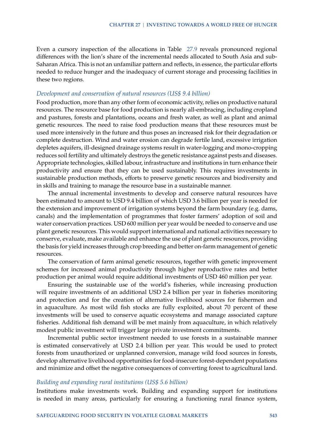Even a cursory inspection of the allocations in Table [27.9](#page-24-0) reveals pronounced regional differences with the lion's share of the incremental needs allocated to South Asia and sub-Saharan Africa. This is not an unfamiliar pattern and reflects, in essence, the particular efforts needed to reduce hunger and the inadequacy of current storage and processing facilities in these two regions.

#### *Development and conservation of natural resources (US\$ 9.4 billion)*

Food production, more than any other form of economic activity, relies on productive natural resources. The resource base for food production is nearly all-embracing, including cropland and pastures, forests and plantations, oceans and fresh water, as well as plant and animal genetic resources. The need to raise food production means that these resources must be used more intensively in the future and thus poses an increased risk for their degradation or complete destruction. Wind and water erosion can degrade fertile land, excessive irrigation depletes aquifers, ill-designed drainage systems result in water-logging and mono-cropping reduces soil fertility and ultimately destroys the genetic resistance against pests and diseases. Appropriate technologies, skilled labour, infrastructure and institutions in turn enhance their productivity and ensure that they can be used sustainably. This requires investments in sustainable production methods, efforts to preserve genetic resources and biodiversity and in skills and training to manage the resource base in a sustainable manner.

The annual incremental investments to develop and conserve natural resources have been estimated to amount to USD 9.4 billion of which USD 3.6 billion per year is needed for the extension and improvement of irrigation systems beyond the farm boundary (e.g. dams, canals) and the implementation of programmes that foster farmers' adoption of soil and water conservation practices. USD 600 million per year would be needed to conserve and use plant genetic resources. This would support international and national activities necessary to conserve, evaluate, make available and enhance the use of plant genetic resources, providing the basis for yield increases through crop breeding and better on-farm management of genetic resources.

The conservation of farm animal genetic resources, together with genetic improvement schemes for increased animal productivity through higher reproductive rates and better production per animal would require additional investments of USD 460 million per year.

Ensuring the sustainable use of the world's fisheries, while increasing production will require investments of an additional USD 2.4 billion per year in fisheries monitoring and protection and for the creation of alternative livelihood sources for fishermen and in aquaculture. As most wild fish stocks are fully exploited, about 70 percent of these investments will be used to conserve aquatic ecosystems and manage associated capture fisheries. Additional fish demand will be met mainly from aquaculture, in which relatively modest public investment will trigger large private investment commitments.

Incremental public sector investment needed to use forests in a sustainable manner is estimated conservatively at USD 2.4 billion per year. This would be used to protect forests from unauthorized or unplanned conversion, manage wild food sources in forests, develop alternative livelihood opportunities for food-insecure forest-dependent populations and minimize and offset the negative consequences of converting forest to agricultural land.

#### *Building and expanding rural institutions (US\$ 5.6 billion)*

Institutions make investments work. Building and expanding support for institutions is needed in many areas, particularly for ensuring a functioning rural finance system,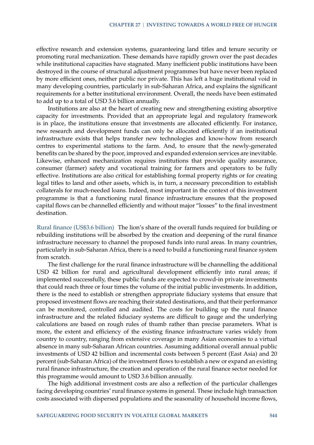effective research and extension systems, guaranteeing land titles and tenure security or promoting rural mechanization. These demands have rapidly grown over the past decades while institutional capacities have stagnated. Many inefficient public institutions have been destroyed in the course of structural adjustment programmes but have never been replaced by more efficient ones, neither public nor private. This has left a huge institutional void in many developing countries, particularly in sub-Saharan Africa, and explains the significant requirements for a better institutional environment. Overall, the needs have been estimated to add up to a total of USD 3.6 billion annually.

Institutions are also at the heart of creating new and strengthening existing absorptive capacity for investments. Provided that an appropriate legal and regulatory framework is in place, the institutions ensure that investments are allocated efficiently. For instance, new research and development funds can only be allocated efficiently if an institutional infrastructure exists that helps transfer new technologies and know-how from research centres to experimental stations to the farm. And, to ensure that the newly-generated benefits can be shared by the poor, improved and expanded extension services are inevitable. Likewise, enhanced mechanization requires institutions that provide quality assurance, consumer (farmer) safety and vocational training for farmers and operators to be fully effective. Institutions are also critical for establishing formal property rights or for creating legal titles to land and other assets, which is, in turn, a necessary precondition to establish collaterals for much-needed loans. Indeed, most important in the context of this investment programme is that a functioning rural finance infrastructure ensures that the proposed capital flows can be channelled efficiently and without major "losses" to the final investment destination.

Rural finance (US\$3.6 billion) The lion's share of the overall funds required for building or rebuilding institutions will be absorbed by the creation and deepening of the rural finance infrastructure necessary to channel the proposed funds into rural areas. In many countries, particularly in sub-Saharan Africa, there is a need to build a functioning rural finance system from scratch.

The first challenge for the rural finance infrastructure will be channelling the additional USD 42 billion for rural and agricultural development efficiently into rural areas; if implemented successfully, these public funds are expected to crowd-in private investments that could reach three or four times the volume of the initial public investments. In addition, there is the need to establish or strengthen appropriate fiduciary systems that ensure that proposed investment flows are reaching their stated destinations, and that their performance can be monitored, controlled and audited. The costs for building up the rural finance infrastructure and the related fiduciary systems are difficult to gauge and the underlying calculations are based on rough rules of thumb rather than precise parameters. What is more, the extent and efficiency of the existing finance infrastructure varies widely from country to country, ranging from extensive coverage in many Asian economies to a virtual absence in many sub-Saharan African countries. Assuming additional overall annual public investments of USD 42 billion and incremental costs between 5 percent (East Asia) and 20 percent (sub-Saharan Africa) of the investment flows to establish a new or expand an existing rural finance infrastructure, the creation and operation of the rural finance sector needed for this programme would amount to USD 3.6 billion annually.

The high additional investment costs are also a reflection of the particular challenges facing developing countries' rural finance systems in general. These include high transaction costs associated with dispersed populations and the seasonality of household income flows,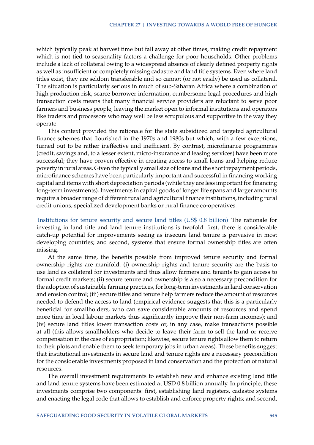which typically peak at harvest time but fall away at other times, making credit repayment which is not tied to seasonality factors a challenge for poor households. Other problems include a lack of collateral owing to a widespread absence of clearly defined property rights as well as insufficient or completely missing cadastre and land title systems. Even where land titles exist, they are seldom transferable and so cannot (or not easily) be used as collateral. The situation is particularly serious in much of sub-Saharan Africa where a combination of high production risk, scarce borrower information, cumbersome legal procedures and high transaction costs means that many financial service providers are reluctant to serve poor farmers and business people, leaving the market open to informal institutions and operators like traders and processors who may well be less scrupulous and supportive in the way they operate.

This context provided the rationale for the state subsidized and targeted agricultural finance schemes that flourished in the 1970s and 1980s but which, with a few exceptions, turned out to be rather ineffective and inefficient. By contrast, microfinance programmes (credit, savings and, to a lesser extent, micro-insurance and leasing services) have been more successful; they have proven effective in creating access to small loans and helping reduce poverty in rural areas. Given the typically small size of loans and the short repayment periods, microfinance schemes have been particularly important and successful in financing working capital and items with short depreciation periods (while they are less important for financing long-term investments). Investments in capital goods of longer life spans and larger amounts require a broader range of different rural and agricultural finance institutions, including rural credit unions, specialized development banks or rural finance co-operatives.

Institutions for tenure security and secure land titles (US\$ 0.8 billion) The rationale for investing in land title and land tenure institutions is twofold: first, there is considerable catch-up potential for improvements seeing as insecure land tenure is pervasive in most developing countries; and second, systems that ensure formal ownership titles are often missing.

At the same time, the benefits possible from improved tenure security and formal ownership rights are manifold: (i) ownership rights and tenure security are the basis to use land as collateral for investments and thus allow farmers and tenants to gain access to formal credit markets; (ii) secure tenure and ownership is also a necessary precondition for the adoption of sustainable farming practices, for long-term investments in land conservation and erosion control; (iii) secure titles and tenure help farmers reduce the amount of resources needed to defend the access to land (empirical evidence suggests that this is a particularly beneficial for smallholders, who can save considerable amounts of resources and spend more time in local labour markets thus significantly improve their non-farm incomes); and (iv) secure land titles lower transaction costs or, in any case, make transactions possible at all (this allows smallholders who decide to leave their farm to sell the land or receive compensation in the case of expropriation; likewise, secure tenure rights allow them to return to their plots and enable them to seek temporary jobs in urban areas). These benefits suggest that institutional investments in secure land and tenure rights are a necessary precondition for the considerable investments proposed in land conservation and the protection of natural resources.

The overall investment requirements to establish new and enhance existing land title and land tenure systems have been estimated at USD 0.8 billion annually. In principle, these investments comprise two components: first, establishing land registers, cadastre systems and enacting the legal code that allows to establish and enforce property rights; and second,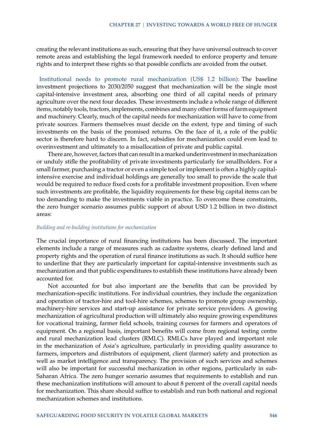creating the relevant institutions as such, ensuring that they have universal outreach to cover remote areas and establishing the legal framework needed to enforce property and tenure rights and to interpret these rights so that possible conflicts are avoided from the outset.

Institutional needs to promote rural mechanization (US\$ 1.2 billion): The baseline investment projections to 2030/2050 suggest that mechanization will be the single most capital-intensive investment area, absorbing one third of all capital needs of primary agriculture over the next four decades. These investments include a whole range of different items, notably tools, tractors, implements, combines and many other forms of farm equipment and machinery. Clearly, much of the capital needs for mechanization will have to come from private sources. Farmers themselves must decide on the extent, type and timing of such investments on the basis of the promised returns. On the face of it, a role of the public sector is therefore hard to discern. In fact, subsidies for mechanization could even lead to overinvestment and ultimately to a misallocation of private and public capital.

There are, however, factors that can result in a marked underinvestment in mechanization or unduly stifle the profitability of private investments particularly for smallholders. For a small farmer, purchasing a tractor or even a simple tool or implement is often a highly capitalintensive exercise and individual holdings are generally too small to provide the scale that would be required to reduce fixed costs for a profitable investment proposition. Even where such investments are profitable, the liquidity requirements for these big capital items can be too demanding to make the investments viable in practice. To overcome these constraints, the zero hunger scenario assumes public support of about USD 1.2 billion in two distinct areas:

#### *Building and re-building institutions for mechanization*

The crucial importance of rural financing institutions has been discussed. The important elements include a range of measures such as cadastre systems, clearly defined land and property rights and the operation of rural finance institutions as such. It should suffice here to underline that they are particularly important for capital-intensive investments such as mechanization and that public expenditures to establish these institutions have already been accounted for.

Not accounted for but also important are the benefits that can be provided by mechanization-specific institutions. For individual countries, they include the organization and operation of tractor-hire and tool-hire schemes, schemes to promote group ownership, machinery-hire services and start-up assistance for private service providers. A growing mechanization of agricultural production will ultimately also require growing expenditures for vocational training, farmer field schools, training courses for farmers and operators of equipment. On a regional basis, important benefits will come from regional testing centre and rural mechanization lead clusters (RMLC). RMLCs have played and important role in the mechanization of Asia's agriculture, particularly in providing quality assurance to farmers, importers and distributors of equipment, client (farmer) safety and protection as well as market intelligence and transparency. The provision of such services and schemes will also be important for successful mechanization in other regions, particularly in sub-Saharan Africa. The zero hunger scenario assumes that requirements to establish and run these mechanization institutions will amount to about 8 percent of the overall capital needs for mechanization. This share should suffice to establish and run both national and regional mechanization schemes and institutions.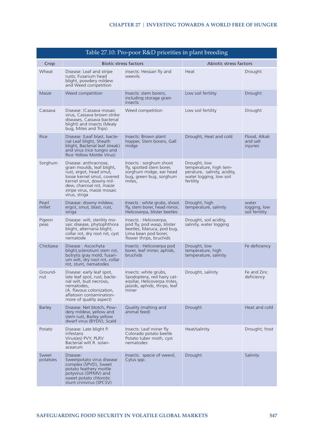<span id="page-29-0"></span>

| Table 27.10: Pro-poor R&D priorities in plant breeding |                                                                                                                                                                                                                    |                                                                                                                                      |                                                                                                                |                                         |  |  |  |
|--------------------------------------------------------|--------------------------------------------------------------------------------------------------------------------------------------------------------------------------------------------------------------------|--------------------------------------------------------------------------------------------------------------------------------------|----------------------------------------------------------------------------------------------------------------|-----------------------------------------|--|--|--|
| Crop                                                   |                                                                                                                                                                                                                    | <b>Biotic stress factors</b>                                                                                                         | Abiotic stress factors                                                                                         |                                         |  |  |  |
| Wheat                                                  | Disease: Leaf and stripe<br>rusts; Fusarium head<br>blight, powdery mildew<br>and Weed competition                                                                                                                 | insects: Hessian fly and<br>weevils                                                                                                  | Heat                                                                                                           | Drought                                 |  |  |  |
| Maize                                                  | Weed competition                                                                                                                                                                                                   | Insects: stem borers,<br>including storage grain<br>insects                                                                          | Low soil fertility                                                                                             | Drought                                 |  |  |  |
| Cassava                                                | Disease: (Cassava mosaic<br>virus, Cassava brown strike<br>diseases, Cassava bacterial<br>blight) and insects (Mealy<br>bug, Mites and Trips)                                                                      | Weed competition                                                                                                                     | Low soil fertility                                                                                             | Drought                                 |  |  |  |
| Rice                                                   | Disease: (Leaf blast, bacte-<br>rial Leaf blight, Sheath<br>blight, Bacterial leaf streak)<br>and virus (rice tungro and<br>Rice Yellow Mottle Virus)                                                              | Insects: Brown plant<br>hopper, Stem borers, Gall<br>midge                                                                           | Drought, Heat and cold                                                                                         | Flood, Alkali<br>and salt<br>injuries   |  |  |  |
| Sorghum                                                | Disease: anthracnose,<br>grain moulds, leaf blight,<br>rust, ergot, head smut,<br>loose kernel smut, covered<br>kernel smut, downy mil-<br>dew, charcoal rot, maize<br>stripe virus, maize mosaic<br>virus, striga | Insects: sorghum shoot<br>fly, spotted stem borer,<br>sorghum midge, ear head<br>bug, green bug, sorghum<br>mites.                   | Drought, low<br>temperature, high tem-<br>perature, salinity, acidity,<br>water logging, low soil<br>fertility |                                         |  |  |  |
| Pearl<br>millet                                        | Disease: downy mildew,<br>ergot, smut, blast, rust,<br>striga                                                                                                                                                      | Insects: white grubs, shoot<br>fly, stem borer, head minor,<br>Helicoverpa, blister beetles                                          | Drought, high<br>temperature, salinity                                                                         | water<br>logging, low<br>soil fertility |  |  |  |
| Pigeon<br>peas                                         | Disease: wilt, sterility mo-<br>saic disease, phytophthora<br>blight, alternaria blight,<br>collar rot, dry root rot, cyst<br>nematode                                                                             | Insects : Helicoverpa,<br>pod fly, pod wasp, blister<br>beetles, Maruca, pod bug,<br>Lima bean pod borer,<br>flower thrips, bruchids | Drought, soil acidity,<br>salinity, water logging                                                              |                                         |  |  |  |
| Chickpea                                               | Disease: Ascochyta<br>blight, sclerotium stem rot,<br>botrytis gray mold, fusari-<br>um wilt, dry root rot, collar<br>rot, stunt, nematodes                                                                        | Insects : Helicoverpa pod<br>borer, leaf miner, aphids,<br>bruchids                                                                  | Drought, low<br>temperature, high<br>temperature, salinity                                                     | Fe deficiency                           |  |  |  |
| Ground-<br>nut                                         | Disease: early leaf spot,<br>late leaf spot, rust, bacte-<br>rial wilt, bud necrosis,<br>nematodes,<br>(A. flavous colonization,<br>aflatoxin contamination-<br>more of quality aspect)                            | Insects: white grubs,<br>Spodoptera, red hairy cat-<br>erpillar, Helicoverpa mites,<br>jassids, aphids, thrips, leaf<br>miner        | Drought, salinity                                                                                              | Fe and Zinc<br>deficiency               |  |  |  |
| <b>Barley</b>                                          | Disease: Net blotch, Pow-<br>dery mildew, yellow and<br>stem rust, Barley yellow<br>dwarf virus (BYDV), Scald                                                                                                      | Quality (malting and<br>animal feed)                                                                                                 | <b>Drought</b>                                                                                                 | Heat and cold                           |  |  |  |
| Potato                                                 | Disease: Late blight P.<br>infestans<br>Virus(es) PVY, PLRV<br>Bacterial wilt R. solan-<br>acearum                                                                                                                 | Insects: Leaf miner fly<br>Colorado potato beetle<br>Potato tuber moth, cyst<br>nematodes                                            | Heat/salinity                                                                                                  | Drought; frost                          |  |  |  |
| Sweet<br>potatoes                                      | Disease:<br>Sweetpotato virus disease<br>complex (SPVD), Sweet<br>potato feathery mottle<br>potyvirus (SPFMV) and<br>sweet potato chlorotic<br>stunt crinivirus (SPCSV)                                            | Insects: specie of weevil,<br>Cylus spp.                                                                                             | <b>Drought</b>                                                                                                 | Salinity                                |  |  |  |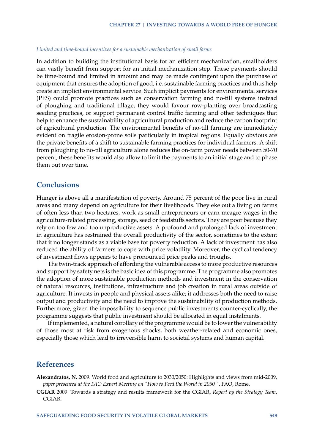#### *Limited and time-bound incentives for a sustainable mechanization of small farms*

In addition to building the institutional basis for an efficient mechanization, smallholders can vastly benefit from support for an initial mechanization step. These payments should be time-bound and limited in amount and may be made contingent upon the purchase of equipment that ensures the adoption of good, i.e. sustainable farming practices and thus help create an implicit environmental service. Such implicit payments for environmental services (PES) could promote practices such as conservation farming and no-till systems instead of ploughing and traditional tillage, they would favour row-planting over broadcasting seeding practices, or support permanent control traffic farming and other techniques that help to enhance the sustainability of agricultural production and reduce the carbon footprint of agricultural production. The environmental benefits of no-till farming are immediately evident on fragile erosion-prone soils particularly in tropical regions. Equally obvious are the private benefits of a shift to sustainable farming practices for individual farmers. A shift from ploughing to no-till agriculture alone reduces the on-farm power needs between 50-70 percent; these benefits would also allow to limit the payments to an initial stage and to phase them out over time.

## **Conclusions**

Hunger is above all a manifestation of poverty. Around 75 percent of the poor live in rural areas and many depend on agriculture for their livelihoods. They eke out a living on farms of often less than two hectares, work as small entrepreneurs or earn meagre wages in the agriculture-related processing, storage, seed or feedstuffs sectors. They are poor because they rely on too few and too unproductive assets. A profound and prolonged lack of investment in agriculture has restrained the overall productivity of the sector, sometimes to the extent that it no longer stands as a viable base for poverty reduction. A lack of investment has also reduced the ability of farmers to cope with price volatility. Moreover, the cyclical tendency of investment flows appears to have pronounced price peaks and troughs.

The twin-track approach of affording the vulnerable access to more productive resources and support by safety nets is the basic idea of this programme. The programme also promotes the adoption of more sustainable production methods and investment in the conservation of natural resources, institutions, infrastructure and job creation in rural areas outside of agriculture. It invests in people and physical assets alike; it addresses both the need to raise output and productivity and the need to improve the sustainability of production methods. Furthermore, given the impossibility to sequence public investments counter-cyclically, the programme suggests that public investment should be allocated in equal instalments.

If implemented, a natural corollary of the programme would be to lower the vulnerability of those most at risk from exogenous shocks, both weather-related and economic ones, especially those which lead to irreversible harm to societal systems and human capital.

## **References**

<span id="page-30-0"></span>**Alexandratos, N.** 2009. World food and agriculture to 2030/2050: Highlights and views from mid-2009, *paper presented at the FAO Expert Meeting on "How to Feed the World in 2050 "*, FAO, Rome.

<span id="page-30-1"></span>**CGIAR** 2009. Towards a strategy and results framework for the CGIAR, *Report by the Strategy Team*, CGIAR.